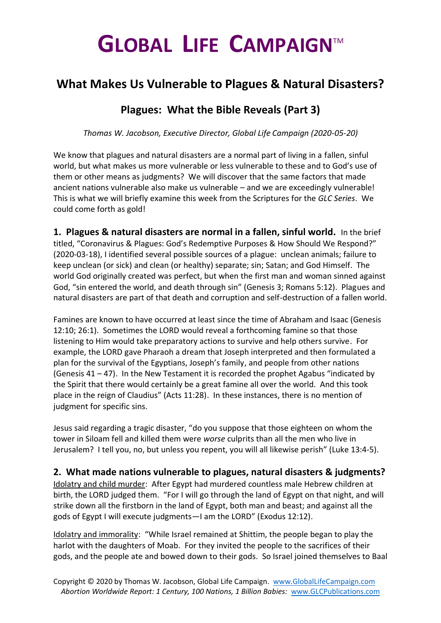## **GLOBAL LIFE CAMPAIGN**TM

## **What Makes Us Vulnerable to Plagues & Natural Disasters?**

## **Plagues: What the Bible Reveals (Part 3)**

*Thomas W. Jacobson, Executive Director, Global Life Campaign (2020-05-20)*

We know that plagues and natural disasters are a normal part of living in a fallen, sinful world, but what makes us more vulnerable or less vulnerable to these and to God's use of them or other means as judgments? We will discover that the same factors that made ancient nations vulnerable also make us vulnerable – and we are exceedingly vulnerable! This is what we will briefly examine this week from the Scriptures for the *GLC Series*. We could come forth as gold!

**1. Plagues & natural disasters are normal in a fallen, sinful world.** In the brief titled, "Coronavirus & Plagues: God's Redemptive Purposes & How Should We Respond?" (2020-03-18), I identified several possible sources of a plague: unclean animals; failure to keep unclean (or sick) and clean (or healthy) separate; sin; Satan; and God Himself. The world God originally created was perfect, but when the first man and woman sinned against God, "sin entered the world, and death through sin" (Genesis 3; Romans 5:12). Plagues and natural disasters are part of that death and corruption and self-destruction of a fallen world.

Famines are known to have occurred at least since the time of Abraham and Isaac (Genesis 12:10; 26:1). Sometimes the LORD would reveal a forthcoming famine so that those listening to Him would take preparatory actions to survive and help others survive. For example, the LORD gave Pharaoh a dream that Joseph interpreted and then formulated a plan for the survival of the Egyptians, Joseph's family, and people from other nations (Genesis  $41 - 47$ ). In the New Testament it is recorded the prophet Agabus "indicated by the Spirit that there would certainly be a great famine all over the world. And this took place in the reign of Claudius" (Acts 11:28). In these instances, there is no mention of judgment for specific sins.

Jesus said regarding a tragic disaster, "do you suppose that those eighteen on whom the tower in Siloam fell and killed them were *worse* culprits than all the men who live in Jerusalem? I tell you, no, but unless you repent, you will all likewise perish" (Luke 13:4-5).

## **2. What made nations vulnerable to plagues, natural disasters & judgments?**

Idolatry and child murder: After Egypt had murdered countless male Hebrew children at birth, the LORD judged them. "For I will go through the land of Egypt on that night, and will strike down all the firstborn in the land of Egypt, both man and beast; and against all the gods of Egypt I will execute judgments—I am the LORD" (Exodus 12:12).

Idolatry and immorality: "While Israel remained at Shittim, the people began to play the harlot with the daughters of Moab. For they invited the people to the sacrifices of their gods, and the people ate and bowed down to their gods. So Israel joined themselves to Baal